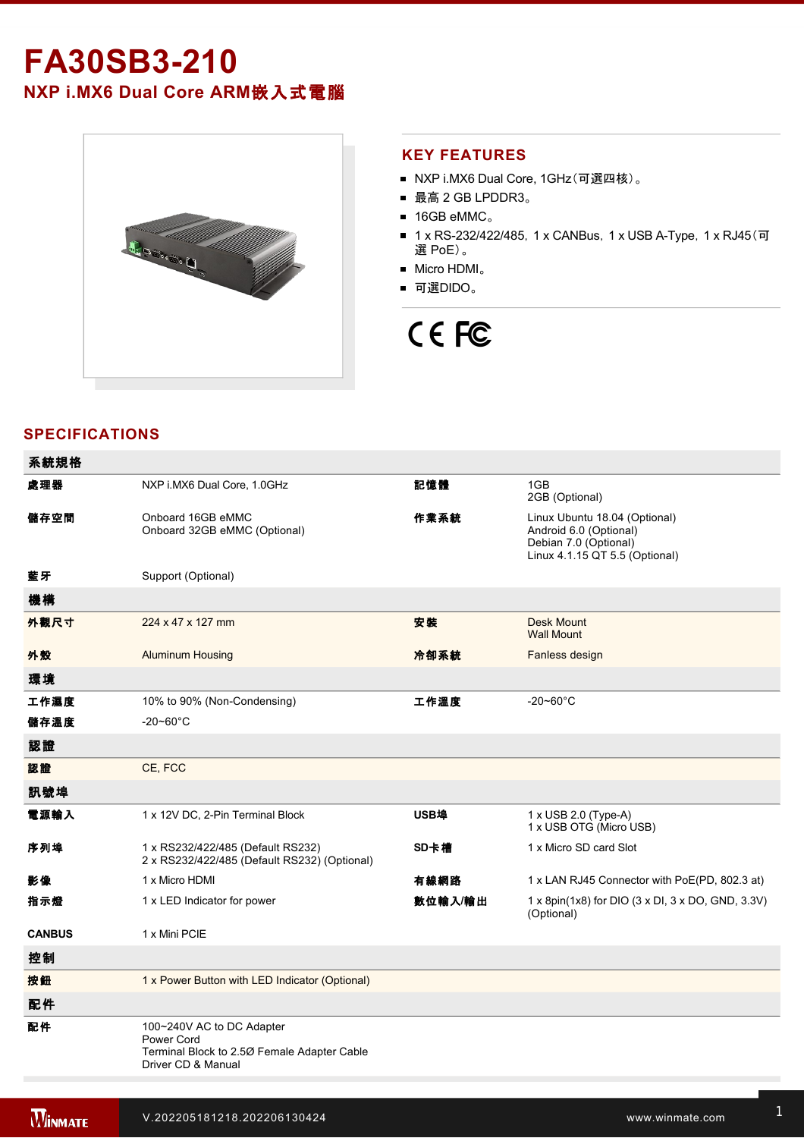# **FA30SB3210 NXP i.MX6 Dual Core ARM**嵌入式電腦



#### **KEY FEATURES**

- NXP i.MX6 Dual Core, 1GHz(可選四核)。
- 最高 2 GB LPDDR3。
- 16GB eMMC。
- 1 x RS-232/422/485, 1 x CANBus, 1 x USB A-Type, 1 x RJ45(可 選 PoE)。
- Micro HDMI。
- 可選DIDO。

# CE FC

## **SPECIFICATIONS**

| 系統規格          |                                                                                                              |         |                                                                                                                    |
|---------------|--------------------------------------------------------------------------------------------------------------|---------|--------------------------------------------------------------------------------------------------------------------|
| 處理器           | NXP i.MX6 Dual Core, 1.0GHz                                                                                  | 記憶體     | 1GB<br>2GB (Optional)                                                                                              |
| 儲存空間          | Onboard 16GB eMMC<br>Onboard 32GB eMMC (Optional)                                                            | 作業系統    | Linux Ubuntu 18.04 (Optional)<br>Android 6.0 (Optional)<br>Debian 7.0 (Optional)<br>Linux 4.1.15 QT 5.5 (Optional) |
| 藍牙            | Support (Optional)                                                                                           |         |                                                                                                                    |
| 機構            |                                                                                                              |         |                                                                                                                    |
| 外觀尺寸          | 224 x 47 x 127 mm                                                                                            | 安装      | <b>Desk Mount</b><br><b>Wall Mount</b>                                                                             |
| 外殼            | <b>Aluminum Housing</b>                                                                                      | 冷卻系統    | Fanless design                                                                                                     |
| 環境            |                                                                                                              |         |                                                                                                                    |
| 工作濕度          | 10% to 90% (Non-Condensing)                                                                                  | 工作溫度    | $-20 - 60^{\circ}$ C                                                                                               |
| 儲存溫度          | $-20 - 60^{\circ}$ C                                                                                         |         |                                                                                                                    |
| 認證            |                                                                                                              |         |                                                                                                                    |
| 認證            | CE, FCC                                                                                                      |         |                                                                                                                    |
| 訊號埠           |                                                                                                              |         |                                                                                                                    |
| 電源輸入          | 1 x 12V DC, 2-Pin Terminal Block                                                                             | USB埠    | 1 x USB 2.0 (Type-A)<br>1 x USB OTG (Micro USB)                                                                    |
| 序列埠           | 1 x RS232/422/485 (Default RS232)<br>2 x RS232/422/485 (Default RS232) (Optional)                            | SD卡槽    | 1 x Micro SD card Slot                                                                                             |
| 影像            | 1 x Micro HDMI                                                                                               | 有線網路    | 1 x LAN RJ45 Connector with PoE(PD, 802.3 at)                                                                      |
| 指示燈           | 1 x LED Indicator for power                                                                                  | 數位輸入/輸出 | 1 x 8pin(1x8) for DIO (3 x DI, 3 x DO, GND, 3.3V)<br>(Optional)                                                    |
| <b>CANBUS</b> | 1 x Mini PCIE                                                                                                |         |                                                                                                                    |
| 控制            |                                                                                                              |         |                                                                                                                    |
| 按鈕            | 1 x Power Button with LED Indicator (Optional)                                                               |         |                                                                                                                    |
| 配件            |                                                                                                              |         |                                                                                                                    |
| 配件            | 100~240V AC to DC Adapter<br>Power Cord<br>Terminal Block to 2.50 Female Adapter Cable<br>Driver CD & Manual |         |                                                                                                                    |